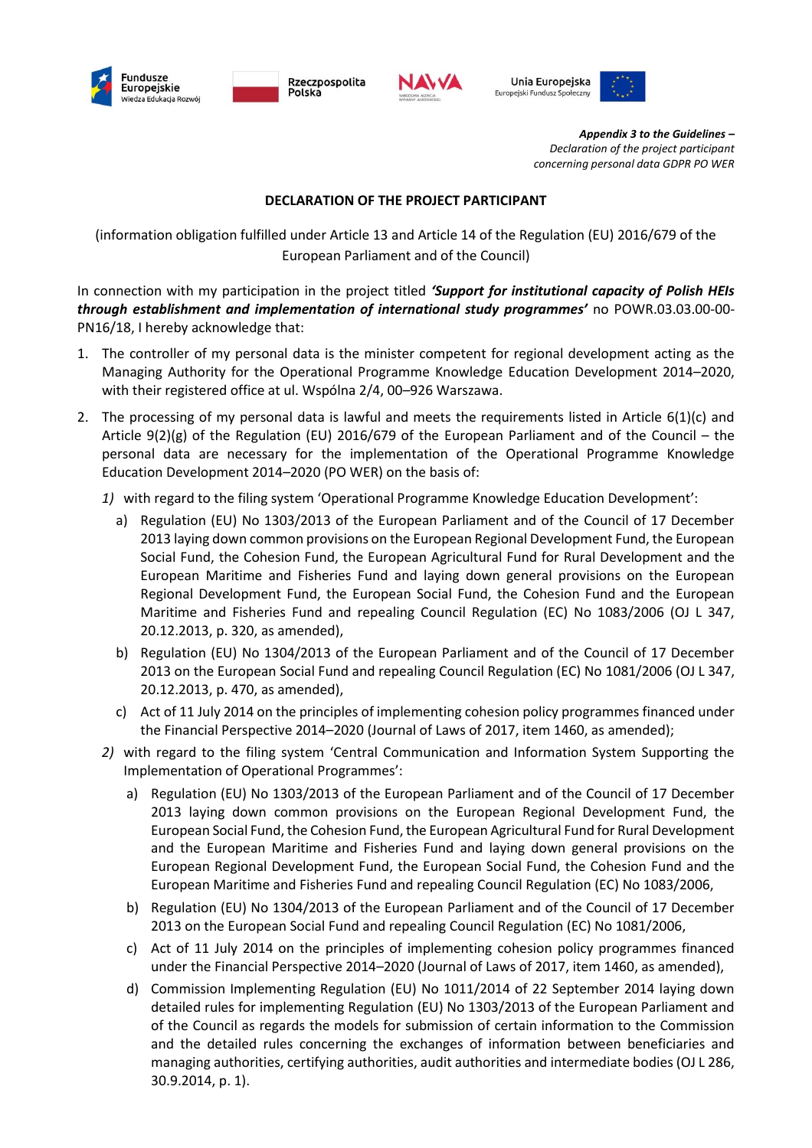

Rzeczpospolita Polska



Unia Europeiska Europejski Fundusz Społeczny



*Appendix 3 to the Guidelines – Declaration of the project participant concerning personal data GDPR PO WER*

## **DECLARATION OF THE PROJECT PARTICIPANT**

(information obligation fulfilled under Article 13 and Article 14 of the Regulation (EU) 2016/679 of the European Parliament and of the Council)

In connection with my participation in the project titled *'Support for institutional capacity of Polish HEIs through establishment and implementation of international study programmes'* no POWR.03.03.00-00- PN16/18, I hereby acknowledge that:

- 1. The controller of my personal data is the minister competent for regional development acting as the Managing Authority for the Operational Programme Knowledge Education Development 2014–2020, with their registered office at ul. Wspólna 2/4, 00–926 Warszawa.
- 2. The processing of my personal data is lawful and meets the requirements listed in Article 6(1)(c) and Article  $9(2)(g)$  of the Regulation (EU) 2016/679 of the European Parliament and of the Council – the personal data are necessary for the implementation of the Operational Programme Knowledge Education Development 2014–2020 (PO WER) on the basis of:
	- *1)* with regard to the filing system 'Operational Programme Knowledge Education Development':
		- a) Regulation (EU) No 1303/2013 of the European Parliament and of the Council of 17 December 2013 laying down common provisions on the European Regional Development Fund, the European Social Fund, the Cohesion Fund, the European Agricultural Fund for Rural Development and the European Maritime and Fisheries Fund and laying down general provisions on the European Regional Development Fund, the European Social Fund, the Cohesion Fund and the European Maritime and Fisheries Fund and repealing Council Regulation (EC) No 1083/2006 (OJ L 347, 20.12.2013, p. 320, as amended),
		- b) Regulation (EU) No 1304/2013 of the European Parliament and of the Council of 17 December 2013 on the European Social Fund and repealing Council Regulation (EC) No 1081/2006 (OJ L 347, 20.12.2013, p. 470, as amended),
		- c) Act of 11 July 2014 on the principles of implementing cohesion policy programmes financed under the Financial Perspective 2014–2020 (Journal of Laws of 2017, item 1460, as amended);
	- *2)* with regard to the filing system 'Central Communication and Information System Supporting the Implementation of Operational Programmes':
		- a) Regulation (EU) No 1303/2013 of the European Parliament and of the Council of 17 December 2013 laying down common provisions on the European Regional Development Fund, the European Social Fund, the Cohesion Fund, the European Agricultural Fund for Rural Development and the European Maritime and Fisheries Fund and laying down general provisions on the European Regional Development Fund, the European Social Fund, the Cohesion Fund and the European Maritime and Fisheries Fund and repealing Council Regulation (EC) No 1083/2006,
		- b) Regulation (EU) No 1304/2013 of the European Parliament and of the Council of 17 December 2013 on the European Social Fund and repealing Council Regulation (EC) No 1081/2006,
		- c) Act of 11 July 2014 on the principles of implementing cohesion policy programmes financed under the Financial Perspective 2014–2020 (Journal of Laws of 2017, item 1460, as amended),
		- d) Commission Implementing Regulation (EU) No 1011/2014 of 22 September 2014 laying down detailed rules for implementing Regulation (EU) No 1303/2013 of the European Parliament and of the Council as regards the models for submission of certain information to the Commission and the detailed rules concerning the exchanges of information between beneficiaries and managing authorities, certifying authorities, audit authorities and intermediate bodies (OJ L 286, 30.9.2014, p. 1).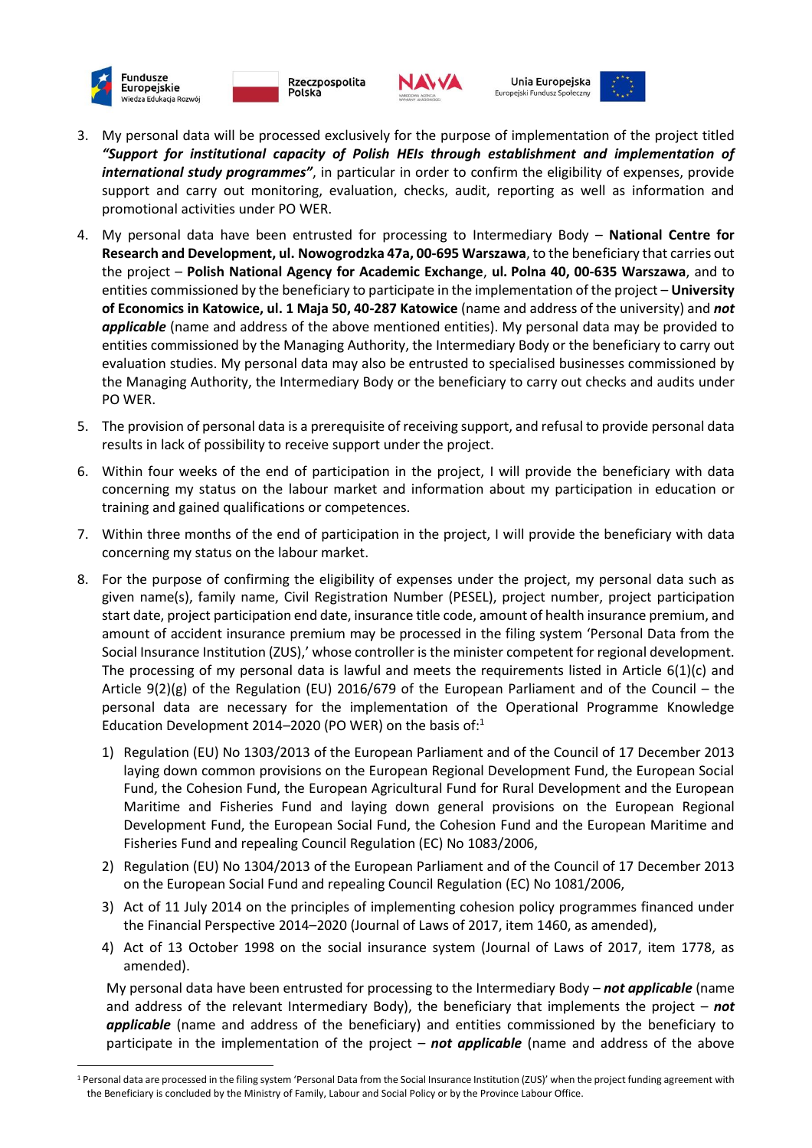

 $\overline{\phantom{a}}$ 





Unia Europeiska Europejski Fundusz Społeczny



- 3. My personal data will be processed exclusively for the purpose of implementation of the project titled *"Support for institutional capacity of Polish HEIs through establishment and implementation of international study programmes"*, in particular in order to confirm the eligibility of expenses, provide support and carry out monitoring, evaluation, checks, audit, reporting as well as information and promotional activities under PO WER.
- 4. My personal data have been entrusted for processing to Intermediary Body **National Centre for Research and Development, ul. Nowogrodzka 47a, 00-695 Warszawa**, to the beneficiary that carries out the project – **Polish National Agency for Academic Exchange**, **ul. Polna 40, 00-635 Warszawa**, and to entities commissioned by the beneficiary to participate in the implementation of the project – **University of Economics in Katowice, ul. 1 Maja 50, 40-287 Katowice** (name and address of the university) and *not applicable* (name and address of the above mentioned entities). My personal data may be provided to entities commissioned by the Managing Authority, the Intermediary Body or the beneficiary to carry out evaluation studies. My personal data may also be entrusted to specialised businesses commissioned by the Managing Authority, the Intermediary Body or the beneficiary to carry out checks and audits under PO WER.
- 5. The provision of personal data is a prerequisite of receiving support, and refusal to provide personal data results in lack of possibility to receive support under the project.
- 6. Within four weeks of the end of participation in the project, I will provide the beneficiary with data concerning my status on the labour market and information about my participation in education or training and gained qualifications or competences.
- 7. Within three months of the end of participation in the project, I will provide the beneficiary with data concerning my status on the labour market.
- 8. For the purpose of confirming the eligibility of expenses under the project, my personal data such as given name(s), family name, Civil Registration Number (PESEL), project number, project participation start date, project participation end date, insurance title code, amount of health insurance premium, and amount of accident insurance premium may be processed in the filing system 'Personal Data from the Social Insurance Institution (ZUS),' whose controller is the minister competent for regional development. The processing of my personal data is lawful and meets the requirements listed in Article 6(1)(c) and Article  $9(2)(g)$  of the Regulation (EU) 2016/679 of the European Parliament and of the Council – the personal data are necessary for the implementation of the Operational Programme Knowledge Education Development 2014–2020 (PO WER) on the basis of: $1$ 
	- 1) Regulation (EU) No 1303/2013 of the European Parliament and of the Council of 17 December 2013 laying down common provisions on the European Regional Development Fund, the European Social Fund, the Cohesion Fund, the European Agricultural Fund for Rural Development and the European Maritime and Fisheries Fund and laying down general provisions on the European Regional Development Fund, the European Social Fund, the Cohesion Fund and the European Maritime and Fisheries Fund and repealing Council Regulation (EC) No 1083/2006,
	- 2) Regulation (EU) No 1304/2013 of the European Parliament and of the Council of 17 December 2013 on the European Social Fund and repealing Council Regulation (EC) No 1081/2006,
	- 3) Act of 11 July 2014 on the principles of implementing cohesion policy programmes financed under the Financial Perspective 2014–2020 (Journal of Laws of 2017, item 1460, as amended),
	- 4) Act of 13 October 1998 on the social insurance system (Journal of Laws of 2017, item 1778, as amended).

My personal data have been entrusted for processing to the Intermediary Body – *not applicable* (name and address of the relevant Intermediary Body), the beneficiary that implements the project – *not applicable* (name and address of the beneficiary) and entities commissioned by the beneficiary to participate in the implementation of the project – *not applicable* (name and address of the above

<sup>&</sup>lt;sup>1</sup> Personal data are processed in the filing system 'Personal Data from the Social Insurance Institution (ZUS)' when the project funding agreement with the Beneficiary is concluded by the Ministry of Family, Labour and Social Policy or by the Province Labour Office.